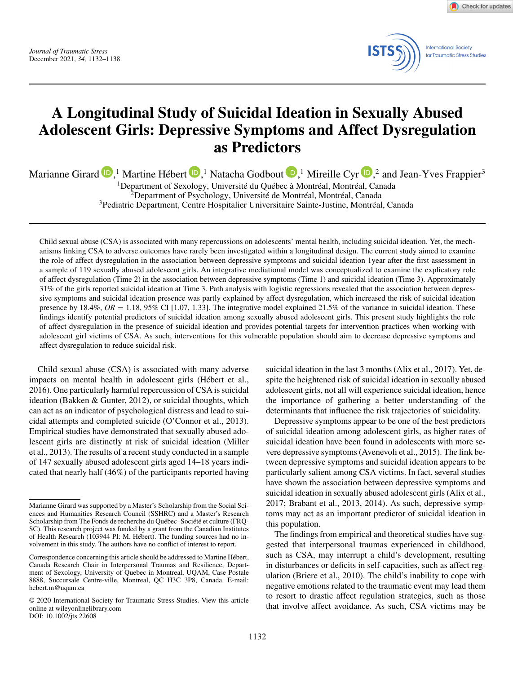*Journal of Traumatic Stress* December 2021, *34,* 1132–1138 Check for updates



# **A Longitudinal Study of Suicidal Ideation in Sexually Abused Adolescent Girls: Depressive Symptoms and Affect Dysregulation as Predictors**

Marianne Girard  $\blacksquare$ [,](https://orcid.org/0000-0003-1778-7818)<sup>1</sup> Martine Hébert  $\blacksquare$ ,<sup>1</sup> Natacha Godbout  $\blacksquare$ ,<sup>1</sup> Mireille Cyr  $\blacksquare$ ,<sup>2</sup> and Jean-Yves Frappier<sup>3</sup>

1Department of Sexology, Université du Québec à Montréal, Montréal, Canada <sup>2</sup>Department of Psychology, Université de Montréal, Montréal, Canada

3Pediatric Department, Centre Hospitalier Universitaire Sainte-Justine, Montréal, Canada

Child sexual abuse (CSA) is associated with many repercussions on adolescents' mental health, including suicidal ideation. Yet, the mechanisms linking CSA to adverse outcomes have rarely been investigated within a longitudinal design. The current study aimed to examine the role of affect dysregulation in the association between depressive symptoms and suicidal ideation 1year after the first assessment in a sample of 119 sexually abused adolescent girls. An integrative mediational model was conceptualized to examine the explicatory role of affect dysregulation (Time 2) in the association between depressive symptoms (Time 1) and suicidal ideation (Time 3). Approximately 31% of the girls reported suicidal ideation at Time 3. Path analysis with logistic regressions revealed that the association between depressive symptoms and suicidal ideation presence was partly explained by affect dysregulation, which increased the risk of suicidal ideation presence by  $18.4\%$ ,  $OR = 1.18$ ,  $95\%$  CI [1.07, 1.33]. The integrative model explained 21.5% of the variance in suicidal ideation. These findings identify potential predictors of suicidal ideation among sexually abused adolescent girls. This present study highlights the role of affect dysregulation in the presence of suicidal ideation and provides potential targets for intervention practices when working with adolescent girl victims of CSA. As such, interventions for this vulnerable population should aim to decrease depressive symptoms and affect dysregulation to reduce suicidal risk.

Child sexual abuse (CSA) is associated with many adverse impacts on mental health in adolescent girls (Hébert et al., 2016). One particularly harmful repercussion of CSA is suicidal ideation (Bakken & Gunter, 2012), or suicidal thoughts, which can act as an indicator of psychological distress and lead to suicidal attempts and completed suicide (O'Connor et al., 2013). Empirical studies have demonstrated that sexually abused adolescent girls are distinctly at risk of suicidal ideation (Miller et al., 2013). The results of a recent study conducted in a sample of 147 sexually abused adolescent girls aged 14–18 years indicated that nearly half (46%) of the participants reported having suicidal ideation in the last 3 months (Alix et al., 2017). Yet, despite the heightened risk of suicidal ideation in sexually abused adolescent girls, not all will experience suicidal ideation, hence the importance of gathering a better understanding of the determinants that influence the risk trajectories of suicidality.

Depressive symptoms appear to be one of the best predictors of suicidal ideation among adolescent girls, as higher rates of suicidal ideation have been found in adolescents with more severe depressive symptoms (Avenevoli et al., 2015). The link between depressive symptoms and suicidal ideation appears to be particularly salient among CSA victims. In fact, several studies have shown the association between depressive symptoms and suicidal ideation in sexually abused adolescent girls (Alix et al., 2017; Brabant et al., 2013, 2014). As such, depressive symptoms may act as an important predictor of suicidal ideation in this population.

The findings from empirical and theoretical studies have suggested that interpersonal traumas experienced in childhood, such as CSA, may interrupt a child's development, resulting in disturbances or deficits in self-capacities, such as affect regulation (Briere et al., 2010). The child's inability to cope with negative emotions related to the traumatic event may lead them to resort to drastic affect regulation strategies, such as those that involve affect avoidance. As such, CSA victims may be

Marianne Girard was supported by a Master's Scholarship from the Social Sciences and Humanities Research Council (SSHRC) and a Master's Research Scholarship from The Fonds de recherche du Québec–Société et culture (FRQ-SC). This research project was funded by a grant from the Canadian Institutes of Health Research (103944 PI: M. Hébert). The funding sources had no involvement in this study. The authors have no conflict of interest to report.

Correspondence concerning this article should be addressed to Martine Hébert, Canada Research Chair in Interpersonal Traumas and Resilience, Department of Sexology, University of Quebec in Montreal, UQAM, Case Postale 8888, Succursale Centre-ville, Montreal, QC H3C 3P8, Canada. E-mail: hebert.m@uqam.ca

<sup>© 2020</sup> International Society for Traumatic Stress Studies. View this article online at wileyonlinelibrary.com DOI: 10.1002/jts.22608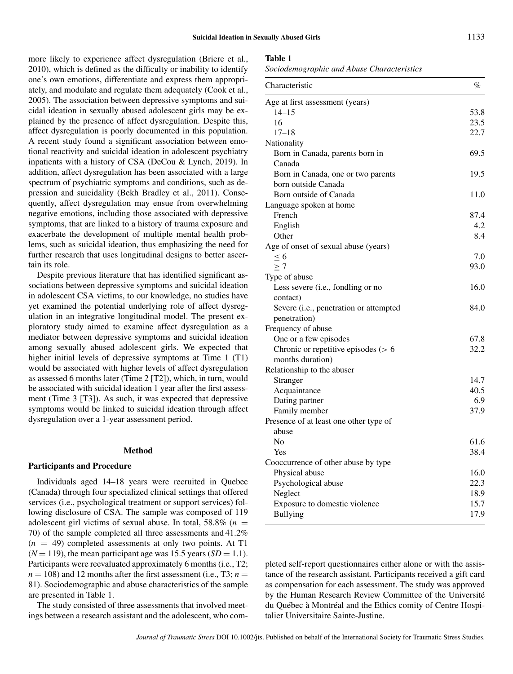more likely to experience affect dysregulation (Briere et al., 2010), which is defined as the difficulty or inability to identify one's own emotions, differentiate and express them appropriately, and modulate and regulate them adequately (Cook et al., 2005). The association between depressive symptoms and suicidal ideation in sexually abused adolescent girls may be explained by the presence of affect dysregulation. Despite this, affect dysregulation is poorly documented in this population. A recent study found a significant association between emotional reactivity and suicidal ideation in adolescent psychiatry inpatients with a history of CSA (DeCou & Lynch, 2019). In addition, affect dysregulation has been associated with a large spectrum of psychiatric symptoms and conditions, such as depression and suicidality (Bekh Bradley et al., 2011). Consequently, affect dysregulation may ensue from overwhelming negative emotions, including those associated with depressive symptoms, that are linked to a history of trauma exposure and exacerbate the development of multiple mental health problems, such as suicidal ideation, thus emphasizing the need for further research that uses longitudinal designs to better ascertain its role.

Despite previous literature that has identified significant associations between depressive symptoms and suicidal ideation in adolescent CSA victims, to our knowledge, no studies have yet examined the potential underlying role of affect dysregulation in an integrative longitudinal model. The present exploratory study aimed to examine affect dysregulation as a mediator between depressive symptoms and suicidal ideation among sexually abused adolescent girls. We expected that higher initial levels of depressive symptoms at Time 1 (T1) would be associated with higher levels of affect dysregulation as assessed 6 months later (Time 2 [T2]), which, in turn, would be associated with suicidal ideation 1 year after the first assessment (Time 3 [T3]). As such, it was expected that depressive symptoms would be linked to suicidal ideation through affect dysregulation over a 1-year assessment period.

#### **Method**

#### **Participants and Procedure**

Individuals aged 14–18 years were recruited in Quebec (Canada) through four specialized clinical settings that offered services (i.e., psychological treatment or support services) following disclosure of CSA. The sample was composed of 119 adolescent girl victims of sexual abuse. In total,  $58.8\%$  ( $n =$ 70) of the sample completed all three assessments and 41.2%  $(n = 49)$  completed assessments at only two points. At T1  $(N = 119)$ , the mean participant age was 15.5 years  $(SD = 1.1)$ . Participants were reevaluated approximately 6 months (i.e., T2;  $n = 108$ ) and 12 months after the first assessment (i.e., T3;  $n =$ 81). Sociodemographic and abuse characteristics of the sample are presented in Table 1.

The study consisted of three assessments that involved meetings between a research assistant and the adolescent, who com-

#### **Table 1**

*Sociodemographic and Abuse Characteristics*

| Characteristic                         | $\%$ |
|----------------------------------------|------|
| Age at first assessment (years)        |      |
| 14–15                                  | 53.8 |
| 16                                     | 23.5 |
| $17 - 18$                              | 22.7 |
| Nationality                            |      |
| Born in Canada, parents born in        | 69.5 |
| Canada                                 |      |
| Born in Canada, one or two parents     | 19.5 |
| born outside Canada                    |      |
| Born outside of Canada                 | 11.0 |
| Language spoken at home                |      |
| French                                 | 87.4 |
| English                                | 4.2  |
| Other                                  | 8.4  |
| Age of onset of sexual abuse (years)   |      |
| < 6                                    | 7.0  |
| >7                                     | 93.0 |
| Type of abuse                          |      |
| Less severe (i.e., fondling or no      | 16.0 |
| contact)                               |      |
| Severe (i.e., penetration or attempted | 84.0 |
| penetration)                           |      |
| Frequency of abuse                     |      |
| One or a few episodes                  | 67.8 |
| Chronic or repetitive episodes ( $> 6$ | 32.2 |
| months duration)                       |      |
| Relationship to the abuser             |      |
| Stranger                               | 14.7 |
| Acquaintance                           | 40.5 |
| Dating partner                         | 6.9  |
| Family member                          | 37.9 |
| Presence of at least one other type of |      |
| abuse                                  |      |
| N <sub>0</sub>                         | 61.6 |
| Yes                                    | 38.4 |
| Cooccurrence of other abuse by type    |      |
| Physical abuse                         | 16.0 |
| Psychological abuse                    | 22.3 |
| Neglect                                | 18.9 |
| Exposure to domestic violence          | 15.7 |
| <b>Bullying</b>                        | 17.9 |
|                                        |      |

pleted self-report questionnaires either alone or with the assistance of the research assistant. Participants received a gift card as compensation for each assessment. The study was approved by the Human Research Review Committee of the Université du Québec à Montréal and the Ethics comity of Centre Hospitalier Universitaire Sainte-Justine.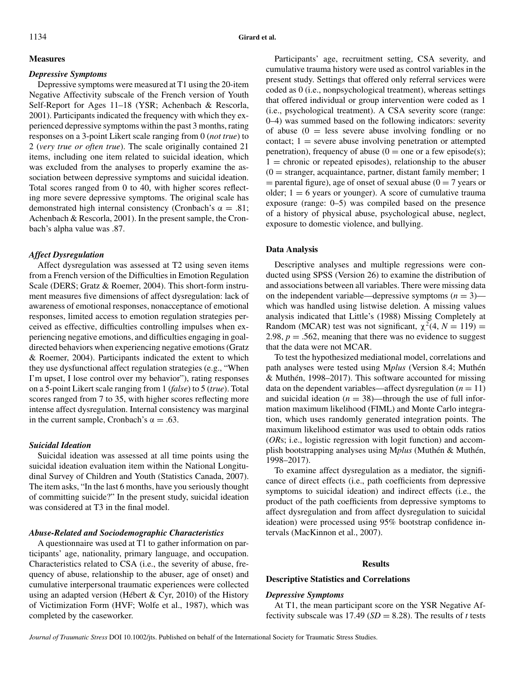# **Measures**

#### *Depressive Symptoms*

Depressive symptoms were measured at T1 using the 20-item Negative Affectivity subscale of the French version of Youth Self-Report for Ages 11–18 (YSR; Achenbach & Rescorla, 2001). Participants indicated the frequency with which they experienced depressive symptoms within the past 3 months, rating responses on a 3-point Likert scale ranging from 0 (*not true*) to 2 (*very true or often true*). The scale originally contained 21 items, including one item related to suicidal ideation, which was excluded from the analyses to properly examine the association between depressive symptoms and suicidal ideation. Total scores ranged from 0 to 40, with higher scores reflecting more severe depressive symptoms. The original scale has demonstrated high internal consistency (Cronbach's  $\alpha = .81$ ; Achenbach & Rescorla, 2001). In the present sample, the Cronbach's alpha value was .87.

#### *Affect Dysregulation*

Affect dysregulation was assessed at T2 using seven items from a French version of the Difficulties in Emotion Regulation Scale (DERS; Gratz & Roemer, 2004). This short-form instrument measures five dimensions of affect dysregulation: lack of awareness of emotional responses, nonacceptance of emotional responses, limited access to emotion regulation strategies perceived as effective, difficulties controlling impulses when experiencing negative emotions, and difficulties engaging in goaldirected behaviors when experiencing negative emotions (Gratz & Roemer, 2004). Participants indicated the extent to which they use dysfunctional affect regulation strategies (e.g., "When I'm upset, I lose control over my behavior"), rating responses on a 5-point Likert scale ranging from 1 (*false*) to 5 (*true*). Total scores ranged from 7 to 35, with higher scores reflecting more intense affect dysregulation. Internal consistency was marginal in the current sample, Cronbach's  $\alpha = .63$ .

## *Suicidal Ideation*

Suicidal ideation was assessed at all time points using the suicidal ideation evaluation item within the National Longitudinal Survey of Children and Youth (Statistics Canada, 2007). The item asks, "In the last 6 months, have you seriously thought of committing suicide?" In the present study, suicidal ideation was considered at T3 in the final model.

#### *Abuse-Related and Sociodemographic Characteristics*

A questionnaire was used at T1 to gather information on participants' age, nationality, primary language, and occupation. Characteristics related to CSA (i.e., the severity of abuse, frequency of abuse, relationship to the abuser, age of onset) and cumulative interpersonal traumatic experiences were collected using an adapted version (Hébert & Cyr, 2010) of the History of Victimization Form (HVF; Wolfe et al., 1987), which was completed by the caseworker.

Participants' age, recruitment setting, CSA severity, and cumulative trauma history were used as control variables in the present study. Settings that offered only referral services were coded as 0 (i.e., nonpsychological treatment), whereas settings that offered individual or group intervention were coded as 1 (i.e., psychological treatment). A CSA severity score (range: 0–4) was summed based on the following indicators: severity of abuse  $(0 = \text{less severe abuse involving fondling or no})$ contact;  $1 =$  severe abuse involving penetration or attempted penetration), frequency of abuse ( $0 =$  one or a few episode(s);  $1 =$  chronic or repeated episodes), relationship to the abuser  $(0 =$  stranger, acquaintance, partner, distant family member; 1  $=$  parental figure), age of onset of sexual abuse (0 = 7 years or older;  $1 = 6$  years or younger). A score of cumulative trauma exposure (range: 0–5) was compiled based on the presence of a history of physical abuse, psychological abuse, neglect, exposure to domestic violence, and bullying.

#### **Data Analysis**

Descriptive analyses and multiple regressions were conducted using SPSS (Version 26) to examine the distribution of and associations between all variables. There were missing data on the independent variable—depressive symptoms  $(n = 3)$  which was handled using listwise deletion. A missing values analysis indicated that Little's (1988) Missing Completely at Random (MCAR) test was not significant,  $\chi^2$ (4, *N* = 119) = 2.98,  $p = .562$ , meaning that there was no evidence to suggest that the data were not MCAR.

To test the hypothesized mediational model, correlations and path analyses were tested using M*plus* (Version 8.4; Muthén & Muthén, 1998–2017). This software accounted for missing data on the dependent variables—affect dysregulation  $(n = 11)$ and suicidal ideation  $(n = 38)$ —through the use of full information maximum likelihood (FIML) and Monte Carlo integration, which uses randomly generated integration points. The maximum likelihood estimator was used to obtain odds ratios (*OR*s; i.e., logistic regression with logit function) and accomplish bootstrapping analyses using M*plus* (Muthén & Muthén, 1998–2017).

To examine affect dysregulation as a mediator, the significance of direct effects (i.e., path coefficients from depressive symptoms to suicidal ideation) and indirect effects (i.e., the product of the path coefficients from depressive symptoms to affect dysregulation and from affect dysregulation to suicidal ideation) were processed using 95% bootstrap confidence intervals (MacKinnon et al., 2007).

#### **Results**

## **Descriptive Statistics and Correlations**

### *Depressive Symptoms*

At T1, the mean participant score on the YSR Negative Affectivity subscale was  $17.49$  ( $SD = 8.28$ ). The results of *t* tests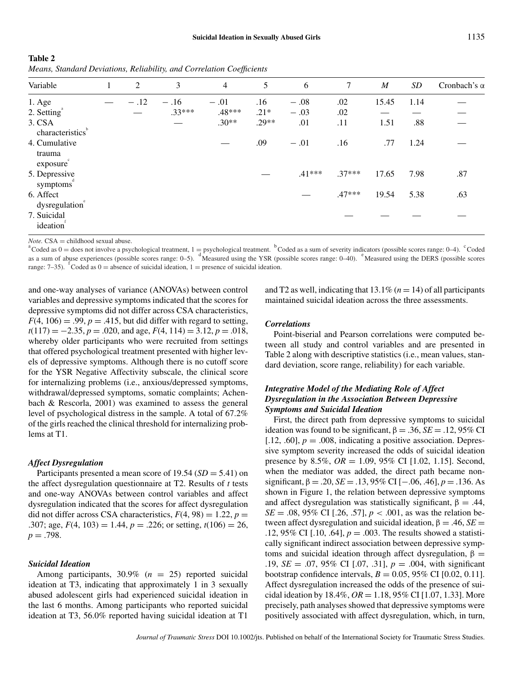| Table 2                                                               |  |  |
|-----------------------------------------------------------------------|--|--|
| Means, Standard Deviations, Reliability, and Correlation Coefficients |  |  |

| Variable                            | 1 | 2      | 3        | $\overline{4}$ | 5       | 6        | 7        | $\boldsymbol{M}$ | SD   | Cronbach's $\alpha$ |
|-------------------------------------|---|--------|----------|----------------|---------|----------|----------|------------------|------|---------------------|
| $1. \text{Age}$                     |   | $-.12$ | $-.16$   | $-.01$         | .16     | $-.08$   | .02      | 15.45            | 1.14 |                     |
| $2.$ Setting $^{\circ}$             |   |        | $.33***$ | .48***         | $.21*$  | $-.03$   | .02      |                  |      |                     |
| 3. CSA<br>characteristics           |   |        |          | $.30**$        | $.29**$ | .01      | .11      | 1.51             | .88  |                     |
| 4. Cumulative<br>trauma<br>exposure |   |        |          |                | .09     | $-.01$   | .16      | .77              | 1.24 |                     |
| 5. Depressive<br>symptoms           |   |        |          |                |         | $.41***$ | $.37***$ | 17.65            | 7.98 | .87                 |
| 6. Affect<br>dysregulation®         |   |        |          |                |         |          | $.47***$ | 19.54            | 5.38 | .63                 |
| 7. Suicidal<br>ideation             |   |        |          |                |         |          |          |                  |      |                     |

*Note.* CSA = childhood sexual abuse.<br><sup>a</sup>Coded as 0 = does not involve a psychological treatment, 1 = psychological treatment. <sup>b</sup>Coded as a sum of severity indicators (possible scores range: 0–4). <sup>c</sup>Coded as a sum of abuse experiences (possible scores range: 0–5). <sup>d</sup>Measured using the YSR (possible scores range: 0–40). <sup>e</sup>Measured using the DERS (possible scores range: 7–35). <sup>f</sup>Coded as 0 = absence of suicidal ideation, 1 = presence of suicidal ideation.

and one-way analyses of variance (ANOVAs) between control variables and depressive symptoms indicated that the scores for depressive symptoms did not differ across CSA characteristics,  $F(4, 106) = .99$ ,  $p = .415$ , but did differ with regard to setting, *t*(117) = −2.35, *p* = .020, and age, *F*(4, 114) = 3.12, *p* = .018, whereby older participants who were recruited from settings that offered psychological treatment presented with higher levels of depressive symptoms. Although there is no cutoff score for the YSR Negative Affectivity subscale, the clinical score for internalizing problems (i.e., anxious/depressed symptoms, withdrawal/depressed symptoms, somatic complaints; Achenbach & Rescorla, 2001) was examined to assess the general level of psychological distress in the sample. A total of 67.2% of the girls reached the clinical threshold for internalizing problems at T1.

#### *Affect Dysregulation*

Participants presented a mean score of 19.54 (*SD* = 5.41) on the affect dysregulation questionnaire at T2. Results of *t* tests and one-way ANOVAs between control variables and affect dysregulation indicated that the scores for affect dysregulation did not differ across CSA characteristics,  $F(4, 98) = 1.22$ ,  $p =$ .307; age,  $F(4, 103) = 1.44$ ,  $p = .226$ ; or setting,  $t(106) = 26$ ,  $p = .798$ .

#### *Suicidal Ideation*

Among participants, 30.9% (*n* = 25) reported suicidal ideation at T3, indicating that approximately 1 in 3 sexually abused adolescent girls had experienced suicidal ideation in the last 6 months. Among participants who reported suicidal ideation at T3, 56.0% reported having suicidal ideation at T1

and T2 as well, indicating that  $13.1\%$  ( $n = 14$ ) of all participants maintained suicidal ideation across the three assessments.

# *Correlations*

Point-biserial and Pearson correlations were computed between all study and control variables and are presented in Table 2 along with descriptive statistics (i.e., mean values, standard deviation, score range, reliability) for each variable.

# *Integrative Model of the Mediating Role of Affect Dysregulation in the Association Between Depressive Symptoms and Suicidal Ideation*

First, the direct path from depressive symptoms to suicidal ideation was found to be significant,  $\beta = .36$ ,  $SE = .12$ , 95% CI [.12, .60],  $p = .008$ , indicating a positive association. Depressive symptom severity increased the odds of suicidal ideation presence by 8.5%, *OR* = 1.09, 95% CI [1.02, 1.15]. Second, when the mediator was added, the direct path became nonsignificant,  $\beta = .20$ ,  $SE = .13$ ,  $95\%$  CI [-.06, .46],  $p = .136$ . As shown in Figure 1, the relation between depressive symptoms and affect dysregulation was statistically significant,  $\beta = .44$ , *SE* = .08, 95% CI [.26, .57],  $p < .001$ , as was the relation between affect dysregulation and suicidal ideation, β = .46, *SE* = .12, 95% CI [.10, .64],  $p = .003$ . The results showed a statistically significant indirect association between depressive symptoms and suicidal ideation through affect dysregulation,  $β =$ .19, *SE* = .07, 95% CI [.07, .31], *p* = .004, with significant bootstrap confidence intervals,  $B = 0.05$ , 95% CI [0.02, 0.11]. Affect dysregulation increased the odds of the presence of suicidal ideation by 18.4%,  $OR = 1.18$ , 95% CI [1.07, 1.33]. More precisely, path analyses showed that depressive symptoms were positively associated with affect dysregulation, which, in turn,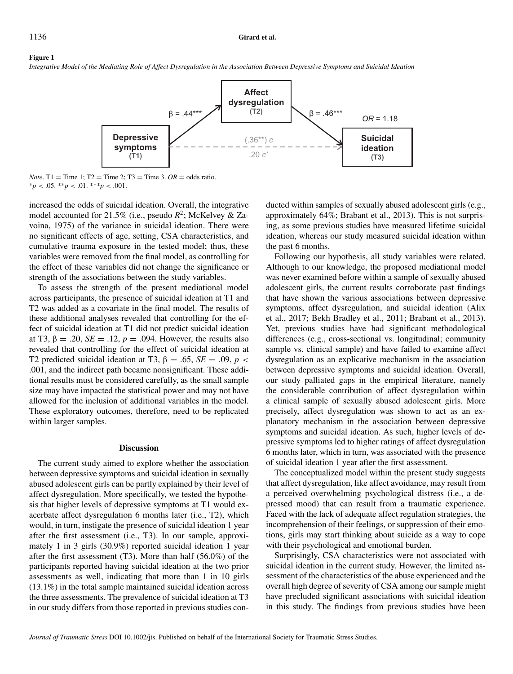#### **Figure 1**

*Integrative Model of the Mediating Role of Affect Dysregulation in the Association Between Depressive Symptoms and Suicidal Ideation*



*Note*. T1 = Time 1; T2 = Time 2; T3 = Time 3.  $OR =$  odds ratio.  $*_{p}$  < .05. \*\**p* < .01. \*\*\**p* < .001.

increased the odds of suicidal ideation. Overall, the integrative model accounted for 21.5% (i.e., pseudo  $R^2$ ; McKelvey & Zavoina, 1975) of the variance in suicidal ideation. There were no significant effects of age, setting, CSA characteristics, and cumulative trauma exposure in the tested model; thus, these variables were removed from the final model, as controlling for the effect of these variables did not change the significance or strength of the associations between the study variables.

To assess the strength of the present mediational model across participants, the presence of suicidal ideation at T1 and T2 was added as a covariate in the final model. The results of these additional analyses revealed that controlling for the effect of suicidal ideation at T1 did not predict suicidal ideation at T3,  $\beta = .20$ ,  $SE = .12$ ,  $p = .094$ . However, the results also revealed that controlling for the effect of suicidal ideation at T2 predicted suicidal ideation at T3,  $\beta = .65$ ,  $SE = .09$ ,  $p <$ .001, and the indirect path became nonsignificant. These additional results must be considered carefully, as the small sample size may have impacted the statistical power and may not have allowed for the inclusion of additional variables in the model. These exploratory outcomes, therefore, need to be replicated within larger samples.

#### **Discussion**

The current study aimed to explore whether the association between depressive symptoms and suicidal ideation in sexually abused adolescent girls can be partly explained by their level of affect dysregulation. More specifically, we tested the hypothesis that higher levels of depressive symptoms at T1 would exacerbate affect dysregulation 6 months later (i.e., T2), which would, in turn, instigate the presence of suicidal ideation 1 year after the first assessment (i.e., T3). In our sample, approximately 1 in 3 girls (30.9%) reported suicidal ideation 1 year after the first assessment (T3). More than half (56.0%) of the participants reported having suicidal ideation at the two prior assessments as well, indicating that more than 1 in 10 girls (13.1%) in the total sample maintained suicidal ideation across the three assessments. The prevalence of suicidal ideation at T3 in our study differs from those reported in previous studies conducted within samples of sexually abused adolescent girls (e.g., approximately 64%; Brabant et al., 2013). This is not surprising, as some previous studies have measured lifetime suicidal ideation, whereas our study measured suicidal ideation within the past 6 months.

Following our hypothesis, all study variables were related. Although to our knowledge, the proposed mediational model was never examined before within a sample of sexually abused adolescent girls, the current results corroborate past findings that have shown the various associations between depressive symptoms, affect dysregulation, and suicidal ideation (Alix et al., 2017; Bekh Bradley et al., 2011; Brabant et al., 2013). Yet, previous studies have had significant methodological differences (e.g., cross-sectional vs. longitudinal; community sample vs. clinical sample) and have failed to examine affect dysregulation as an explicative mechanism in the association between depressive symptoms and suicidal ideation. Overall, our study palliated gaps in the empirical literature, namely the considerable contribution of affect dysregulation within a clinical sample of sexually abused adolescent girls. More precisely, affect dysregulation was shown to act as an explanatory mechanism in the association between depressive symptoms and suicidal ideation. As such, higher levels of depressive symptoms led to higher ratings of affect dysregulation 6 months later, which in turn, was associated with the presence of suicidal ideation 1 year after the first assessment.

The conceptualized model within the present study suggests that affect dysregulation, like affect avoidance, may result from a perceived overwhelming psychological distress (i.e., a depressed mood) that can result from a traumatic experience. Faced with the lack of adequate affect regulation strategies, the incomprehension of their feelings, or suppression of their emotions, girls may start thinking about suicide as a way to cope with their psychological and emotional burden.

Surprisingly, CSA characteristics were not associated with suicidal ideation in the current study. However, the limited assessment of the characteristics of the abuse experienced and the overall high degree of severity of CSA among our sample might have precluded significant associations with suicidal ideation in this study. The findings from previous studies have been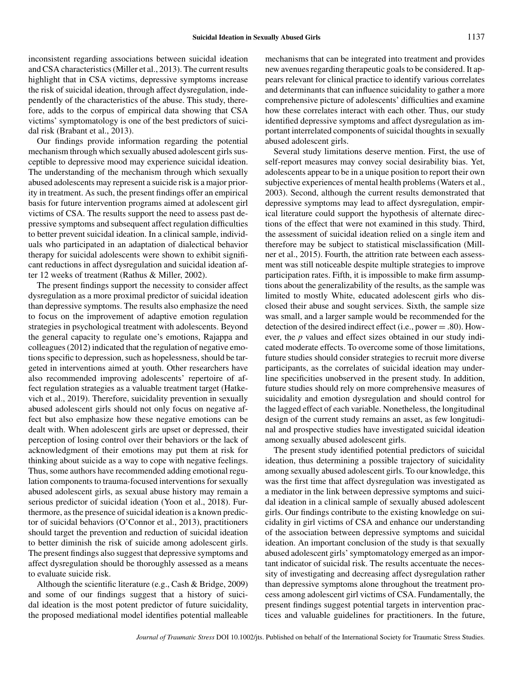inconsistent regarding associations between suicidal ideation and CSA characteristics (Miller et al., 2013). The current results highlight that in CSA victims, depressive symptoms increase the risk of suicidal ideation, through affect dysregulation, independently of the characteristics of the abuse. This study, therefore, adds to the corpus of empirical data showing that CSA victims' symptomatology is one of the best predictors of suicidal risk (Brabant et al., 2013).

Our findings provide information regarding the potential mechanism through which sexually abused adolescent girls susceptible to depressive mood may experience suicidal ideation. The understanding of the mechanism through which sexually abused adolescents may represent a suicide risk is a major priority in treatment. As such, the present findings offer an empirical basis for future intervention programs aimed at adolescent girl victims of CSA. The results support the need to assess past depressive symptoms and subsequent affect regulation difficulties to better prevent suicidal ideation. In a clinical sample, individuals who participated in an adaptation of dialectical behavior therapy for suicidal adolescents were shown to exhibit significant reductions in affect dysregulation and suicidal ideation after 12 weeks of treatment (Rathus & Miller, 2002).

The present findings support the necessity to consider affect dysregulation as a more proximal predictor of suicidal ideation than depressive symptoms. The results also emphasize the need to focus on the improvement of adaptive emotion regulation strategies in psychological treatment with adolescents. Beyond the general capacity to regulate one's emotions, Rajappa and colleagues (2012) indicated that the regulation of negative emotions specific to depression, such as hopelessness, should be targeted in interventions aimed at youth. Other researchers have also recommended improving adolescents' repertoire of affect regulation strategies as a valuable treatment target (Hatkevich et al., 2019). Therefore, suicidality prevention in sexually abused adolescent girls should not only focus on negative affect but also emphasize how these negative emotions can be dealt with. When adolescent girls are upset or depressed, their perception of losing control over their behaviors or the lack of acknowledgment of their emotions may put them at risk for thinking about suicide as a way to cope with negative feelings. Thus, some authors have recommended adding emotional regulation components to trauma-focused interventions for sexually abused adolescent girls, as sexual abuse history may remain a serious predictor of suicidal ideation (Yoon et al., 2018). Furthermore, as the presence of suicidal ideation is a known predictor of suicidal behaviors (O'Connor et al., 2013), practitioners should target the prevention and reduction of suicidal ideation to better diminish the risk of suicide among adolescent girls. The present findings also suggest that depressive symptoms and affect dysregulation should be thoroughly assessed as a means to evaluate suicide risk.

Although the scientific literature (e.g., Cash & Bridge, 2009) and some of our findings suggest that a history of suicidal ideation is the most potent predictor of future suicidality, the proposed mediational model identifies potential malleable mechanisms that can be integrated into treatment and provides new avenues regarding therapeutic goals to be considered. It appears relevant for clinical practice to identify various correlates and determinants that can influence suicidality to gather a more comprehensive picture of adolescents' difficulties and examine how these correlates interact with each other. Thus, our study identified depressive symptoms and affect dysregulation as important interrelated components of suicidal thoughts in sexually abused adolescent girls.

Several study limitations deserve mention. First, the use of self-report measures may convey social desirability bias. Yet, adolescents appear to be in a unique position to report their own subjective experiences of mental health problems (Waters et al., 2003). Second, although the current results demonstrated that depressive symptoms may lead to affect dysregulation, empirical literature could support the hypothesis of alternate directions of the effect that were not examined in this study. Third, the assessment of suicidal ideation relied on a single item and therefore may be subject to statistical misclassification (Millner et al., 2015). Fourth, the attrition rate between each assessment was still noticeable despite multiple strategies to improve participation rates. Fifth, it is impossible to make firm assumptions about the generalizability of the results, as the sample was limited to mostly White, educated adolescent girls who disclosed their abuse and sought services. Sixth, the sample size was small, and a larger sample would be recommended for the detection of the desired indirect effect (i.e., power = .80). However, the *p* values and effect sizes obtained in our study indicated moderate effects. To overcome some of those limitations, future studies should consider strategies to recruit more diverse participants, as the correlates of suicidal ideation may underline specificities unobserved in the present study. In addition, future studies should rely on more comprehensive measures of suicidality and emotion dysregulation and should control for the lagged effect of each variable. Nonetheless, the longitudinal design of the current study remains an asset, as few longitudinal and prospective studies have investigated suicidal ideation among sexually abused adolescent girls.

The present study identified potential predictors of suicidal ideation, thus determining a possible trajectory of suicidality among sexually abused adolescent girls. To our knowledge, this was the first time that affect dysregulation was investigated as a mediator in the link between depressive symptoms and suicidal ideation in a clinical sample of sexually abused adolescent girls. Our findings contribute to the existing knowledge on suicidality in girl victims of CSA and enhance our understanding of the association between depressive symptoms and suicidal ideation. An important conclusion of the study is that sexually abused adolescent girls' symptomatology emerged as an important indicator of suicidal risk. The results accentuate the necessity of investigating and decreasing affect dysregulation rather than depressive symptoms alone throughout the treatment process among adolescent girl victims of CSA. Fundamentally, the present findings suggest potential targets in intervention practices and valuable guidelines for practitioners. In the future,